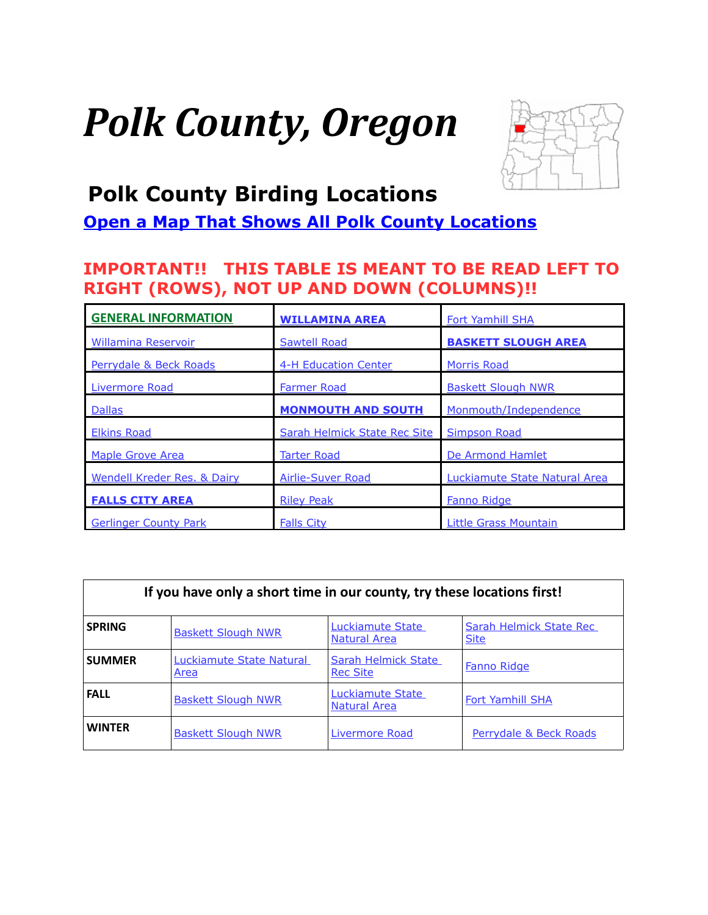# <span id="page-0-0"></span>*Polk County, Oregon*



## **Polk County Birding Locations**

## **[Open a Map That Shows All Polk County Locations](https://www.google.com/maps/d/edit?mid=zVl1oTDALjf4.kTTxU_al4ZHk&usp=sharing)**

## **IMPORTANT!! THIS TABLE IS MEANT TO BE READ LEFT TO RIGHT (ROWS), NOT UP AND DOWN (COLUMNS)!!**

| <b>GENERAL INFORMATION</b>             | <b>WILLAMINA AREA</b>        | <b>Fort Yamhill SHA</b>       |
|----------------------------------------|------------------------------|-------------------------------|
| <b>Willamina Reservoir</b>             | Sawtell Road                 | <b>BASKETT SLOUGH AREA</b>    |
| Perrydale & Beck Roads                 | <b>4-H Education Center</b>  | <b>Morris Road</b>            |
| Livermore Road                         | <b>Farmer Road</b>           | <b>Baskett Slough NWR</b>     |
| <b>Dallas</b>                          | <b>MONMOUTH AND SOUTH</b>    | Monmouth/Independence         |
| <b>Elkins Road</b>                     | Sarah Helmick State Rec Site | <b>Simpson Road</b>           |
| <b>Maple Grove Area</b>                | <b>Tarter Road</b>           | De Armond Hamlet              |
| <b>Wendell Kreder Res. &amp; Dairy</b> | <b>Airlie-Suver Road</b>     | Luckiamute State Natural Area |
| <b>FALLS CITY AREA</b>                 | <b>Riley Peak</b>            | <b>Fanno Ridge</b>            |
| <b>Gerlinger County Park</b>           | <b>Falls City</b>            | Little Grass Mountain         |

| If you have only a short time in our county, try these locations first! |                                  |                                         |                                        |  |
|-------------------------------------------------------------------------|----------------------------------|-----------------------------------------|----------------------------------------|--|
| <b>SPRING</b>                                                           | <b>Baskett Slough NWR</b>        | Luckiamute State<br><b>Natural Area</b> | Sarah Helmick State Rec<br><b>Site</b> |  |
| <b>SUMMER</b>                                                           | Luckiamute State Natural<br>Area | Sarah Helmick State<br><b>Rec Site</b>  | Fanno Ridge                            |  |
| <b>FALL</b>                                                             | <b>Baskett Slough NWR</b>        | Luckiamute State<br>Natural Area        | <b>Fort Yamhill SHA</b>                |  |
| <b>WINTER</b>                                                           | <b>Baskett Slough NWR</b>        | Livermore Road                          | Perrydale & Beck Roads                 |  |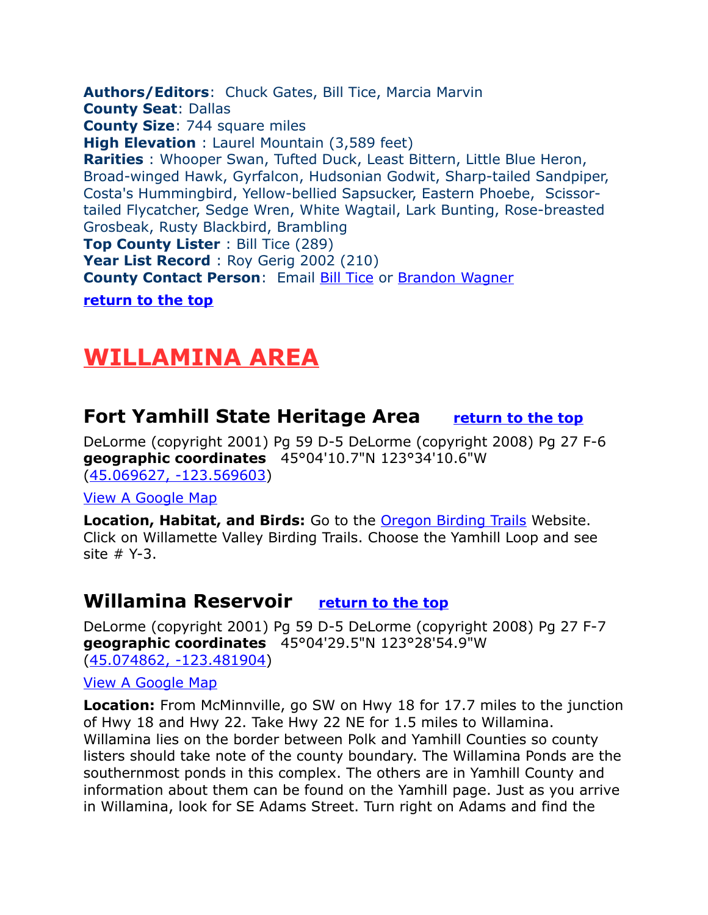<span id="page-1-3"></span>**Authors/Editors**: Chuck Gates, Bill Tice, Marcia Marvin **County Seat**: Dallas **County Size**: 744 square miles **High Elevation** : Laurel Mountain (3,589 feet) **Rarities** : Whooper Swan, Tufted Duck, Least Bittern, Little Blue Heron, Broad-winged Hawk, Gyrfalcon, Hudsonian Godwit, Sharp-tailed Sandpiper, Costa's Hummingbird, Yellow-bellied Sapsucker, Eastern Phoebe, Scissortailed Flycatcher, Sedge Wren, White Wagtail, Lark Bunting, Rose-breasted Grosbeak, Rusty Blackbird, Brambling **Top County Lister** : Bill Tice (289) Year List Record : Roy Gerig 2002 (210) **County Contact Person: Email [Bill Tice](mailto:watice@msn.com) or [Brandon Wagner](mailto:bmwboarder@gmail.com)** 

**[return to the top](#page-0-0)**

# <span id="page-1-2"></span>**WILLAMINA AREA**

## <span id="page-1-0"></span>**Fort Yamhill State Heritage Area [return to the top](#page-0-0)**

DeLorme (copyright 2001) Pg 59 D-5 DeLorme (copyright 2008) Pg 27 F-6 **geographic coordinates** 45°04'10.7"N 123°34'10.6"W [\(45.069627, -123.569603\)](https://www.google.com/maps/place/45%C2%B004)

[View A Google Map](http://maps.google.com/maps/ms?hl=en&ie=UTF8&msa=0&msid=108036481085398338899.00046dd268d8cf9c99a3e&ll=45.065519,-123.588295&spn=0.208297,0.527&z=12)

**Location, Habitat, and Birds:** Go to the **Oregon Birding Trails** Website. Click on Willamette Valley Birding Trails. Choose the Yamhill Loop and see site # Y-3.

## <span id="page-1-1"></span>**Willamina Reservoir [return to the top](#page-0-0)**

DeLorme (copyright 2001) Pg 59 D-5 DeLorme (copyright 2008) Pg 27 F-7 **geographic coordinates** 45°04'29.5"N 123°28'54.9"W [\(45.074862, -123.481904\)](https://www.google.com/maps/place/45%C2%B004)

[View A Google Map](http://maps.google.com/maps/ms?hl=en&ie=UTF8&msa=0&msid=108036481085398338899.000475a1d3b6509b4f56f&ll=45.055576,-123.559113&spn=0.208333,0.527&z=12)

**Location:** From McMinnville, go SW on Hwy 18 for 17.7 miles to the junction of Hwy 18 and Hwy 22. Take Hwy 22 NE for 1.5 miles to Willamina. Willamina lies on the border between Polk and Yamhill Counties so county listers should take note of the county boundary. The Willamina Ponds are the southernmost ponds in this complex. The others are in Yamhill County and information about them can be found on the Yamhill page. Just as you arrive in Willamina, look for SE Adams Street. Turn right on Adams and find the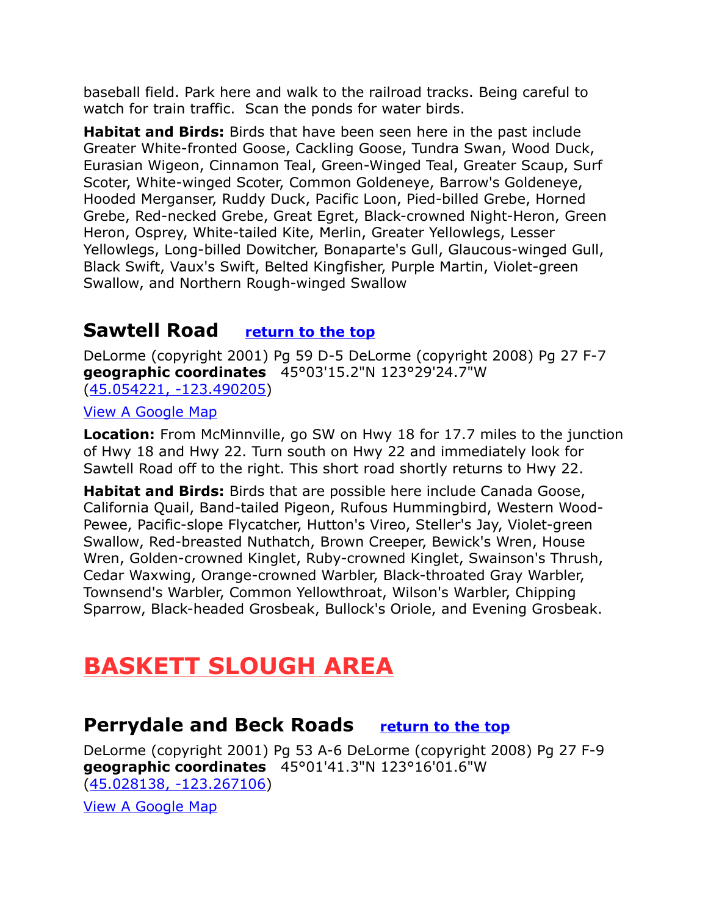baseball field. Park here and walk to the railroad tracks. Being careful to watch for train traffic. Scan the ponds for water birds.

**Habitat and Birds:** Birds that have been seen here in the past include Greater White-fronted Goose, Cackling Goose, Tundra Swan, Wood Duck, Eurasian Wigeon, Cinnamon Teal, Green-Winged Teal, Greater Scaup, Surf Scoter, White-winged Scoter, Common Goldeneye, Barrow's Goldeneye, Hooded Merganser, Ruddy Duck, Pacific Loon, Pied-billed Grebe, Horned Grebe, Red-necked Grebe, Great Egret, Black-crowned Night-Heron, Green Heron, Osprey, White-tailed Kite, Merlin, Greater Yellowlegs, Lesser Yellowlegs, Long-billed Dowitcher, Bonaparte's Gull, Glaucous-winged Gull, Black Swift, Vaux's Swift, Belted Kingfisher, Purple Martin, Violet-green Swallow, and Northern Rough-winged Swallow

## <span id="page-2-1"></span>**Sawtell Road [return to the top](#page-0-0)**

DeLorme (copyright 2001) Pg 59 D-5 DeLorme (copyright 2008) Pg 27 F-7 **geographic coordinates** 45°03'15.2"N 123°29'24.7"W [\(45.054221, -123.490205\)](https://www.google.com/maps/place/45%C2%B003)

[View A Google Map](http://maps.google.com/maps/ms?hl=en&ie=UTF8&msa=0&msid=108036481085398338899.000475a1d3b6509b4f56f&ll=45.055576,-123.559113&spn=0.208333,0.527&z=12)

**Location:** From McMinnville, go SW on Hwy 18 for 17.7 miles to the junction of Hwy 18 and Hwy 22. Turn south on Hwy 22 and immediately look for Sawtell Road off to the right. This short road shortly returns to Hwy 22.

**Habitat and Birds:** Birds that are possible here include Canada Goose, California Quail, Band-tailed Pigeon, Rufous Hummingbird, Western Wood-Pewee, Pacific-slope Flycatcher, Hutton's Vireo, Steller's Jay, Violet-green Swallow, Red-breasted Nuthatch, Brown Creeper, Bewick's Wren, House Wren, Golden-crowned Kinglet, Ruby-crowned Kinglet, Swainson's Thrush, Cedar Waxwing, Orange-crowned Warbler, Black-throated Gray Warbler, Townsend's Warbler, Common Yellowthroat, Wilson's Warbler, Chipping Sparrow, Black-headed Grosbeak, Bullock's Oriole, and Evening Grosbeak.

# **BASKETT SLOUGH AREA**

## <span id="page-2-0"></span>**Perrydale and Beck Roads [return to the top](#page-0-0)**

DeLorme (copyright 2001) Pg 53 A-6 DeLorme (copyright 2008) Pg 27 F-9 **geographic coordinates** 45°01'41.3"N 123°16'01.6"W [\(45.028138, -123.267106\)](https://www.google.com/maps/place/45%C2%B001)

[View A Google Map](http://maps.google.com/maps/ms?hl=en&ie=UTF8&msa=0&ll=45.008506,-123.237762&spn=0.417008,1.054001&z=11&msid=108036481085398338899.00047e09c2f87a7a27224)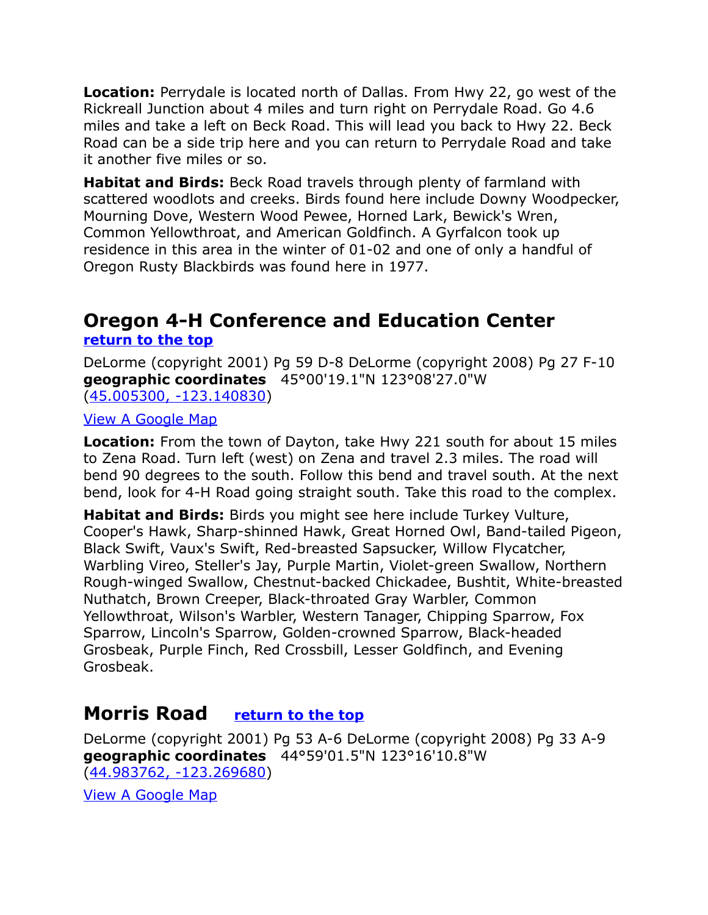**Location:** Perrydale is located north of Dallas. From Hwy 22, go west of the Rickreall Junction about 4 miles and turn right on Perrydale Road. Go 4.6 miles and take a left on Beck Road. This will lead you back to Hwy 22. Beck Road can be a side trip here and you can return to Perrydale Road and take it another five miles or so.

**Habitat and Birds:** Beck Road travels through plenty of farmland with scattered woodlots and creeks. Birds found here include Downy Woodpecker, Mourning Dove, Western Wood Pewee, Horned Lark, Bewick's Wren, Common Yellowthroat, and American Goldfinch. A Gyrfalcon took up residence in this area in the winter of 01-02 and one of only a handful of Oregon Rusty Blackbirds was found here in 1977.

## <span id="page-3-1"></span>**Oregon 4-H Conference and Education Center [return to the top](#page-0-0)**

DeLorme (copyright 2001) Pg 59 D-8 DeLorme (copyright 2008) Pg 27 F-10 **geographic coordinates** 45°00'19.1"N 123°08'27.0"W [\(45.005300, -123.140830\)](https://www.google.com/maps/place/45%C2%B000)

#### [View A Google Map](http://maps.google.com/maps/ms?hl=en&ie=UTF8&msa=0&ll=45.008506,-123.237762&spn=0.417008,1.054001&z=11&msid=108036481085398338899.00047e09c2f87a7a27224)

**Location:** From the town of Dayton, take Hwy 221 south for about 15 miles to Zena Road. Turn left (west) on Zena and travel 2.3 miles. The road will bend 90 degrees to the south. Follow this bend and travel south. At the next bend, look for 4-H Road going straight south. Take this road to the complex.

**Habitat and Birds:** Birds you might see here include Turkey Vulture, Cooper's Hawk, Sharp-shinned Hawk, Great Horned Owl, Band-tailed Pigeon, Black Swift, Vaux's Swift, Red-breasted Sapsucker, Willow Flycatcher, Warbling Vireo, Steller's Jay, Purple Martin, Violet-green Swallow, Northern Rough-winged Swallow, Chestnut-backed Chickadee, Bushtit, White-breasted Nuthatch, Brown Creeper, Black-throated Gray Warbler, Common Yellowthroat, Wilson's Warbler, Western Tanager, Chipping Sparrow, Fox Sparrow, Lincoln's Sparrow, Golden-crowned Sparrow, Black-headed Grosbeak, Purple Finch, Red Crossbill, Lesser Goldfinch, and Evening Grosbeak.

## <span id="page-3-0"></span>**Morris Road [return to the top](#page-0-0)**

DeLorme (copyright 2001) Pg 53 A-6 DeLorme (copyright 2008) Pg 33 A-9 **geographic coordinates** 44°59'01.5"N 123°16'10.8"W [\(44.983762, -123.269680\)](https://www.google.com/maps/place/44%C2%B059)

[View A Google Map](http://maps.google.com/maps/ms?hl=en&ie=UTF8&msa=0&ll=45.008506,-123.237762&spn=0.417008,1.054001&z=11&msid=108036481085398338899.00047e09c2f87a7a27224)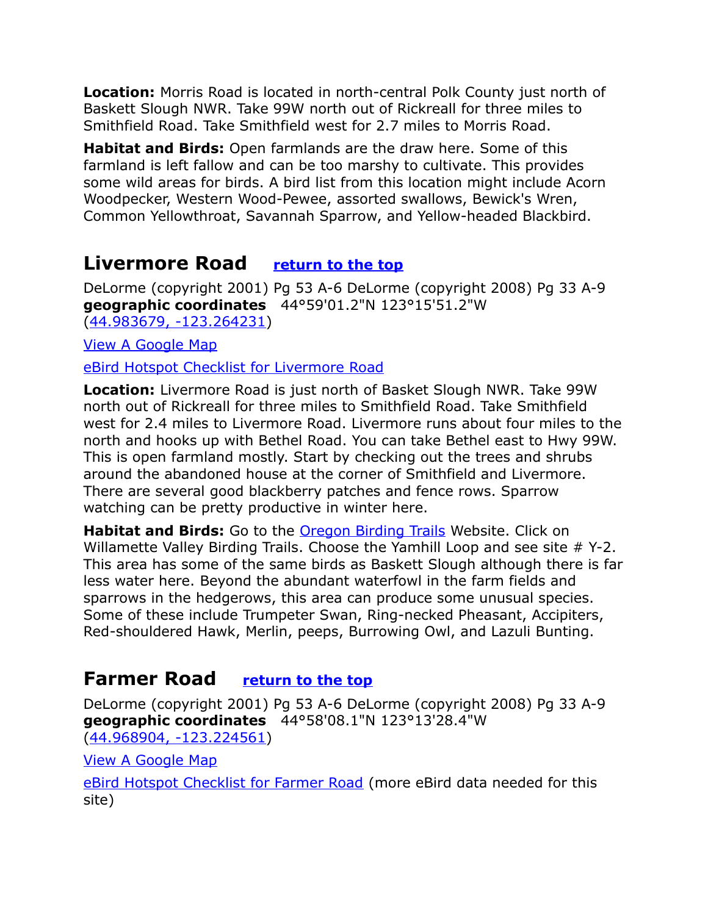**Location:** Morris Road is located in north-central Polk County just north of Baskett Slough NWR. Take 99W north out of Rickreall for three miles to Smithfield Road. Take Smithfield west for 2.7 miles to Morris Road.

**Habitat and Birds:** Open farmlands are the draw here. Some of this farmland is left fallow and can be too marshy to cultivate. This provides some wild areas for birds. A bird list from this location might include Acorn Woodpecker, Western Wood-Pewee, assorted swallows, Bewick's Wren, Common Yellowthroat, Savannah Sparrow, and Yellow-headed Blackbird.

## <span id="page-4-0"></span>**Livermore Road [return to the top](#page-0-0)**

DeLorme (copyright 2001) Pg 53 A-6 DeLorme (copyright 2008) Pg 33 A-9 **geographic coordinates** 44°59'01.2"N 123°15'51.2"W [\(44.983679, -123.264231\)](https://www.google.com/maps/place/44%C2%B059)

[View A Google Map](http://maps.google.com/maps/ms?hl=en&ie=UTF8&msa=0&ll=45.008506,-123.237762&spn=0.417008,1.054001&z=11&msid=108036481085398338899.00047e09c2f87a7a27224)

[eBird Hotspot Checklist for Livermore Road](http://ebird.org/ebird/hotspot/L1048528)

**Location:** Livermore Road is just north of Basket Slough NWR. Take 99W north out of Rickreall for three miles to Smithfield Road. Take Smithfield west for 2.4 miles to Livermore Road. Livermore runs about four miles to the north and hooks up with Bethel Road. You can take Bethel east to Hwy 99W. This is open farmland mostly. Start by checking out the trees and shrubs around the abandoned house at the corner of Smithfield and Livermore. There are several good blackberry patches and fence rows. Sparrow watching can be pretty productive in winter here.

Habitat and Birds: Go to the **Oregon Birding Trails** Website. Click on Willamette Valley Birding Trails. Choose the Yamhill Loop and see site # Y-2. This area has some of the same birds as Baskett Slough although there is far less water here. Beyond the abundant waterfowl in the farm fields and sparrows in the hedgerows, this area can produce some unusual species. Some of these include Trumpeter Swan, Ring-necked Pheasant, Accipiters, Red-shouldered Hawk, Merlin, peeps, Burrowing Owl, and Lazuli Bunting.

## <span id="page-4-1"></span>**Farmer Road [return to the top](#page-0-0)**

DeLorme (copyright 2001) Pg 53 A-6 DeLorme (copyright 2008) Pg 33 A-9 **geographic coordinates** 44°58'08.1"N 123°13'28.4"W [\(44.968904, -123.224561\)](https://www.google.com/maps/place/44%C2%B058)

[View A Google Map](http://maps.google.com/maps/ms?hl=en&ie=UTF8&msa=0&ll=45.008506,-123.237762&spn=0.417008,1.054001&z=11&msid=108036481085398338899.00047e09c2f87a7a27224)

[eBird Hotspot Checklist for Farmer Road](http://ebird.org/ebird/hotspot/L2337353) (more eBird data needed for this site)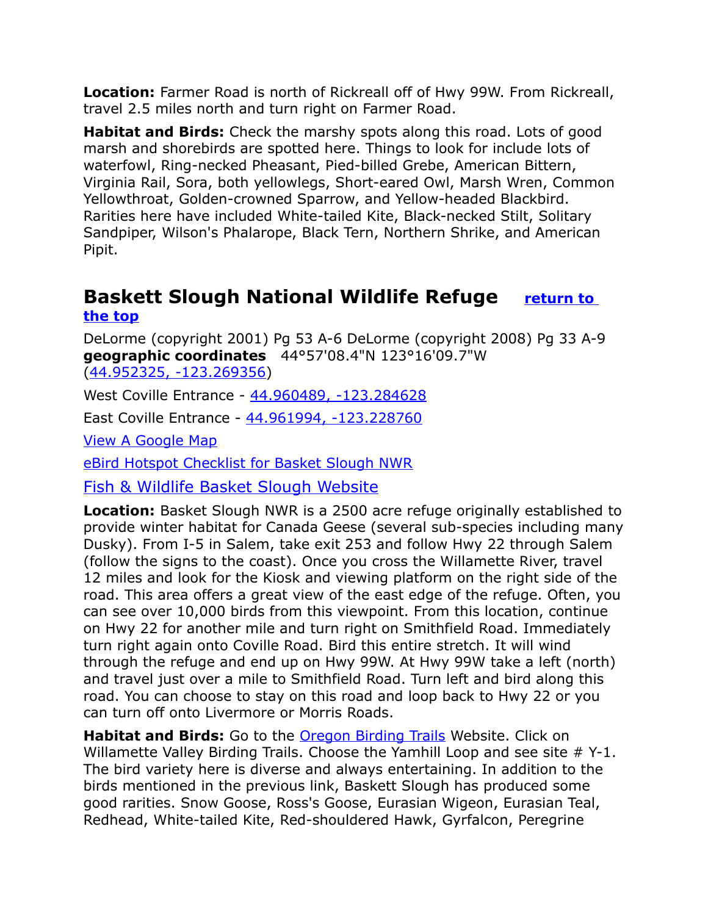**Location:** Farmer Road is north of Rickreall off of Hwy 99W. From Rickreall, travel 2.5 miles north and turn right on Farmer Road.

**Habitat and Birds:** Check the marshy spots along this road. Lots of good marsh and shorebirds are spotted here. Things to look for include lots of waterfowl, Ring-necked Pheasant, Pied-billed Grebe, American Bittern, Virginia Rail, Sora, both yellowlegs, Short-eared Owl, Marsh Wren, Common Yellowthroat, Golden-crowned Sparrow, and Yellow-headed Blackbird. Rarities here have included White-tailed Kite, Black-necked Stilt, Solitary Sandpiper, Wilson's Phalarope, Black Tern, Northern Shrike, and American Pipit.

## <span id="page-5-0"></span>**Baskett Slough National Wildlife Refuge [return to](#page-0-0)  [the top](#page-0-0)**

DeLorme (copyright 2001) Pg 53 A-6 DeLorme (copyright 2008) Pg 33 A-9 **geographic coordinates** 44°57'08.4"N 123°16'09.7"W [\(44.952325, -123.269356\)](https://www.google.com/maps/place/44%C2%B057)

West Coville Entrance - [44.960489, -123.284628](https://www.google.com/maps/place/44%C2%B057)

East Coville Entrance - [44.961994, -123.228760](https://www.google.com/maps/place/44%C2%B057)

[View A Google Map](http://maps.google.com/maps/ms?hl=en&ie=UTF8&msa=0&ll=45.008506,-123.237762&spn=0.417008,1.054001&z=11&msid=108036481085398338899.00047e09c2f87a7a27224)

[eBird Hotspot Checklist for Basket Slough NWR](http://ebird.org/ebird/hotspot/L159573)

[Fish & Wildlife Basket Slough Website](http://www.fws.gov/WillametteValley/baskett/)

**Location:** Basket Slough NWR is a 2500 acre refuge originally established to provide winter habitat for Canada Geese (several sub-species including many Dusky). From I-5 in Salem, take exit 253 and follow Hwy 22 through Salem (follow the signs to the coast). Once you cross the Willamette River, travel 12 miles and look for the Kiosk and viewing platform on the right side of the road. This area offers a great view of the east edge of the refuge. Often, you can see over 10,000 birds from this viewpoint. From this location, continue on Hwy 22 for another mile and turn right on Smithfield Road. Immediately turn right again onto Coville Road. Bird this entire stretch. It will wind through the refuge and end up on Hwy 99W. At Hwy 99W take a left (north) and travel just over a mile to Smithfield Road. Turn left and bird along this road. You can choose to stay on this road and loop back to Hwy 22 or you can turn off onto Livermore or Morris Roads.

**Habitat and Birds:** Go to the [Oregon Birding Trails](http://www.oregonbirdingtrails.org/) Website. Click on Willamette Valley Birding Trails. Choose the Yamhill Loop and see site # Y-1. The bird variety here is diverse and always entertaining. In addition to the birds mentioned in the previous link, Baskett Slough has produced some good rarities. Snow Goose, Ross's Goose, Eurasian Wigeon, Eurasian Teal, Redhead, White-tailed Kite, Red-shouldered Hawk, Gyrfalcon, Peregrine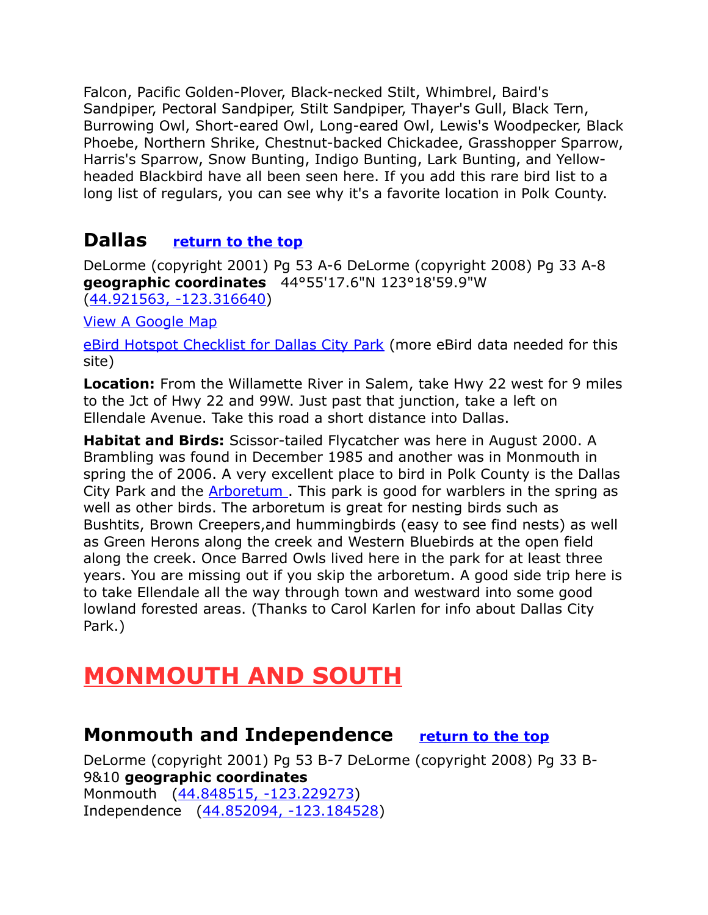Falcon, Pacific Golden-Plover, Black-necked Stilt, Whimbrel, Baird's Sandpiper, Pectoral Sandpiper, Stilt Sandpiper, Thayer's Gull, Black Tern, Burrowing Owl, Short-eared Owl, Long-eared Owl, Lewis's Woodpecker, Black Phoebe, Northern Shrike, Chestnut-backed Chickadee, Grasshopper Sparrow, Harris's Sparrow, Snow Bunting, Indigo Bunting, Lark Bunting, and Yellowheaded Blackbird have all been seen here. If you add this rare bird list to a long list of regulars, you can see why it's a favorite location in Polk County.

## <span id="page-6-2"></span>**Dallas [return to the top](#page-0-0)**

DeLorme (copyright 2001) Pg 53 A-6 DeLorme (copyright 2008) Pg 33 A-8 **geographic coordinates** 44°55'17.6"N 123°18'59.9"W [\(44.921563, -123.316640\)](https://www.google.com/maps/place/44%C2%B055)

[View A Google Map](http://maps.google.com/maps/ms?hl=en&ie=UTF8&msa=0&ll=45.008506,-123.237762&spn=0.417008,1.054001&z=11&msid=108036481085398338899.00047e09c2f87a7a27224)

[eBird Hotspot Checklist for Dallas City Park](http://ebird.org/ebird/hotspot/L1133654) (more eBird data needed for this site)

**Location:** From the Willamette River in Salem, take Hwy 22 west for 9 miles to the Jct of Hwy 22 and 99W. Just past that junction, take a left on Ellendale Avenue. Take this road a short distance into Dallas.

**Habitat and Birds:** Scissor-tailed Flycatcher was here in August 2000. A Brambling was found in December 1985 and another was in Monmouth in spring the of 2006. A very excellent place to bird in Polk County is the Dallas City Park and the **Arboretum**. This park is good for warblers in the spring as well as other birds. The arboretum is great for nesting birds such as Bushtits, Brown Creepers,and hummingbirds (easy to see find nests) as well as Green Herons along the creek and Western Bluebirds at the open field along the creek. Once Barred Owls lived here in the park for at least three years. You are missing out if you skip the arboretum. A good side trip here is to take Ellendale all the way through town and westward into some good lowland forested areas. (Thanks to Carol Karlen for info about Dallas City Park.)

# <span id="page-6-1"></span>**MONMOUTH AND SOUTH**

## <span id="page-6-0"></span>**Monmouth and Independence [return to the top](#page-0-0)**

DeLorme (copyright 2001) Pg 53 B-7 DeLorme (copyright 2008) Pg 33 B-9&10 **geographic coordinates** Monmouth [\(44.848515, -123.229273\)](https://www.google.com/maps/place/44%C2%B050) Independence [\(44.852094, -123.184528\)](https://www.google.com/maps/place/44%C2%B051)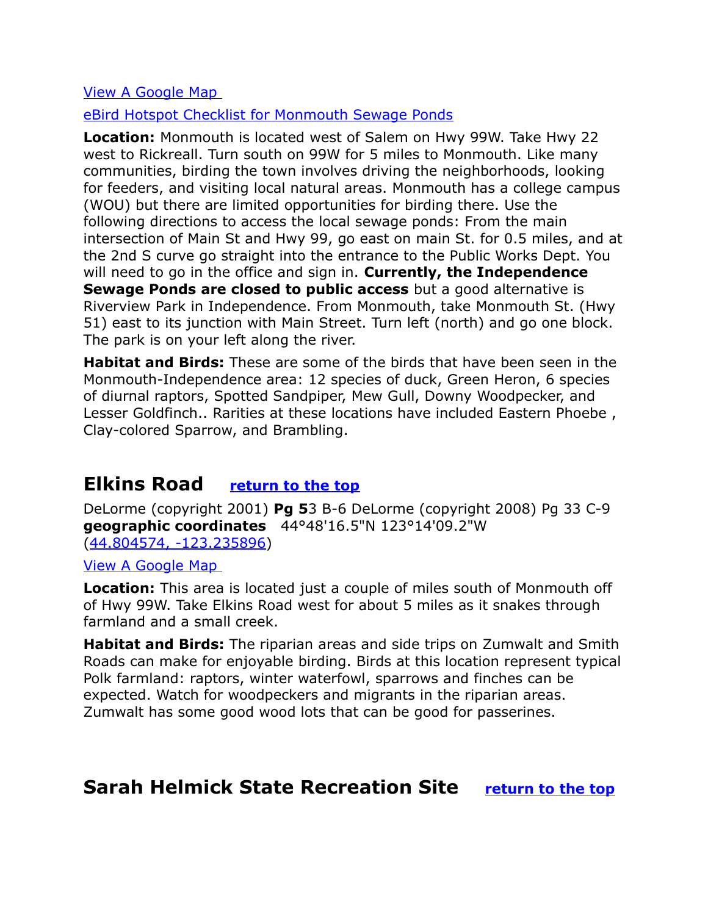#### [View A Google Map](http://maps.google.com/maps/ms?hl=en&ie=UTF8&msa=0&msid=108036481085398338899.000475a20fb10cc645a1c&ll=44.790607,-123.261795&spn=0.387893,1.056747&z=11)

[eBird Hotspot Checklist for Monmouth Sewage Ponds](http://ebird.org/ebird/hotspot/L822473)

**Location:** Monmouth is located west of Salem on Hwy 99W. Take Hwy 22 west to Rickreall. Turn south on 99W for 5 miles to Monmouth. Like many communities, birding the town involves driving the neighborhoods, looking for feeders, and visiting local natural areas. Monmouth has a college campus (WOU) but there are limited opportunities for birding there. Use the following directions to access the local sewage ponds: From the main intersection of Main St and Hwy 99, go east on main St. for 0.5 miles, and at the 2nd S curve go straight into the entrance to the Public Works Dept. You will need to go in the office and sign in. **Currently, the Independence Sewage Ponds are closed to public access** but a good alternative is Riverview Park in Independence. From Monmouth, take Monmouth St. (Hwy 51) east to its junction with Main Street. Turn left (north) and go one block. The park is on your left along the river.

**Habitat and Birds:** These are some of the birds that have been seen in the Monmouth-Independence area: 12 species of duck, Green Heron, 6 species of diurnal raptors, Spotted Sandpiper, Mew Gull, Downy Woodpecker, and Lesser Goldfinch.. Rarities at these locations have included Eastern Phoebe , Clay-colored Sparrow, and Brambling.

## <span id="page-7-2"></span>**Elkins Road [return to the top](#page-0-0)**

DeLorme (copyright 2001) **Pg 5**3 B-6 DeLorme (copyright 2008) Pg 33 C-9 **geographic coordinates** 44°48'16.5"N 123°14'09.2"W [\(44.804574, -123.235896\)](https://www.google.com/maps/place/44%C2%B048)

[View A Google Map](http://maps.google.com/maps/ms?hl=en&ie=UTF8&msa=0&msid=108036481085398338899.000475a20fb10cc645a1c&ll=44.790607,-123.261795&spn=0.387893,1.056747&z=11) 

**Location:** This area is located just a couple of miles south of Monmouth off of Hwy 99W. Take Elkins Road west for about 5 miles as it snakes through farmland and a small creek.

**Habitat and Birds:** The riparian areas and side trips on Zumwalt and Smith Roads can make for enjoyable birding. Birds at this location represent typical Polk farmland: raptors, winter waterfowl, sparrows and finches can be expected. Watch for woodpeckers and migrants in the riparian areas. Zumwalt has some good wood lots that can be good for passerines.

## <span id="page-7-1"></span><span id="page-7-0"></span>**Sarah Helmick State Recreation Site [return to the top](#page-0-0)**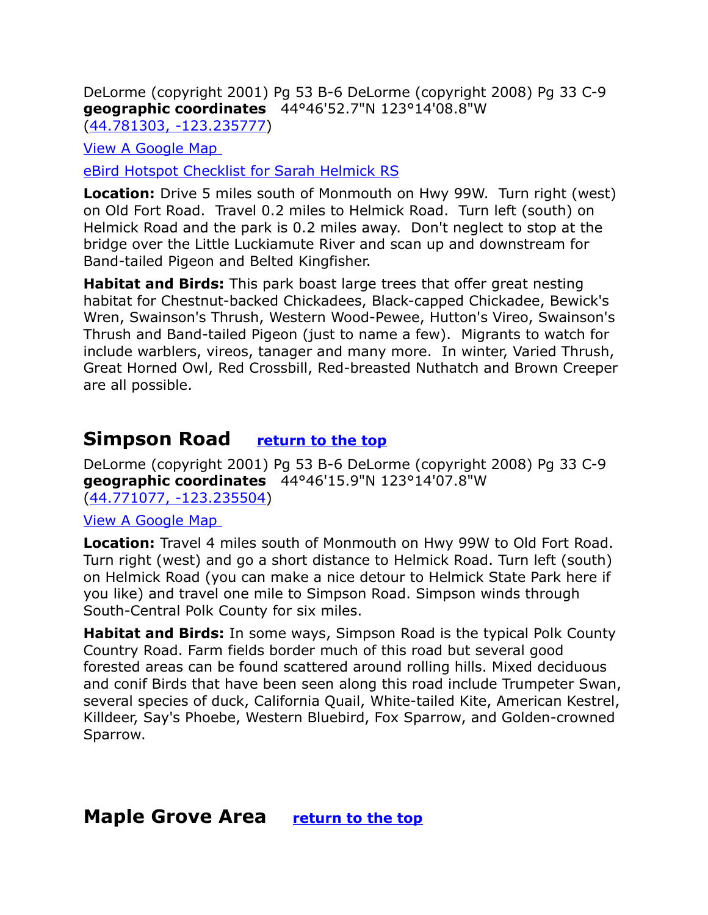DeLorme (copyright 2001) Pg 53 B-6 DeLorme (copyright 2008) Pg 33 C-9 **geographic coordinates** 44°46'52.7"N 123°14'08.8"W [\(44.781303, -123.235777\)](https://www.google.com/maps/place/44%C2%B046)

[View A Google Map](http://maps.google.com/maps/ms?hl=en&ie=UTF8&msa=0&msid=108036481085398338899.000475a20fb10cc645a1c&ll=44.790607,-123.261795&spn=0.387893,1.056747&z=11) 

[eBird Hotspot Checklist for Sarah Helmick RS](http://ebird.org/ebird/hotspot/L870187)

**Location:** Drive 5 miles south of Monmouth on Hwy 99W. Turn right (west) on Old Fort Road. Travel 0.2 miles to Helmick Road. Turn left (south) on Helmick Road and the park is 0.2 miles away. Don't neglect to stop at the bridge over the Little Luckiamute River and scan up and downstream for Band-tailed Pigeon and Belted Kingfisher.

**Habitat and Birds:** This park boast large trees that offer great nesting habitat for Chestnut-backed Chickadees, Black-capped Chickadee, Bewick's Wren, Swainson's Thrush, Western Wood-Pewee, Hutton's Vireo, Swainson's Thrush and Band-tailed Pigeon (just to name a few). Migrants to watch for include warblers, vireos, tanager and many more. In winter, Varied Thrush, Great Horned Owl, Red Crossbill, Red-breasted Nuthatch and Brown Creeper are all possible.

## **Simpson Road [return to the top](#page-0-0)**

DeLorme (copyright 2001) Pg 53 B-6 DeLorme (copyright 2008) Pg 33 C-9 **geographic coordinates** 44°46'15.9"N 123°14'07.8"W [\(44.771077, -123.235504\)](https://www.google.com/maps/place/44%C2%B046)

#### [View A Google Map](http://maps.google.com/maps/ms?hl=en&ie=UTF8&msa=0&msid=108036481085398338899.000475a20fb10cc645a1c&ll=44.790607,-123.261795&spn=0.387893,1.056747&z=11)

**Location:** Travel 4 miles south of Monmouth on Hwy 99W to Old Fort Road. Turn right (west) and go a short distance to Helmick Road. Turn left (south) on Helmick Road (you can make a nice detour to Helmick State Park here if you like) and travel one mile to Simpson Road. Simpson winds through South-Central Polk County for six miles.

**Habitat and Birds:** In some ways, Simpson Road is the typical Polk County Country Road. Farm fields border much of this road but several good forested areas can be found scattered around rolling hills. Mixed deciduous and conif Birds that have been seen along this road include Trumpeter Swan, several species of duck, California Quail, White-tailed Kite, American Kestrel, Killdeer, Say's Phoebe, Western Bluebird, Fox Sparrow, and Golden-crowned Sparrow.

### <span id="page-8-0"></span>**Maple Grove Area [return to the top](#page-0-0)**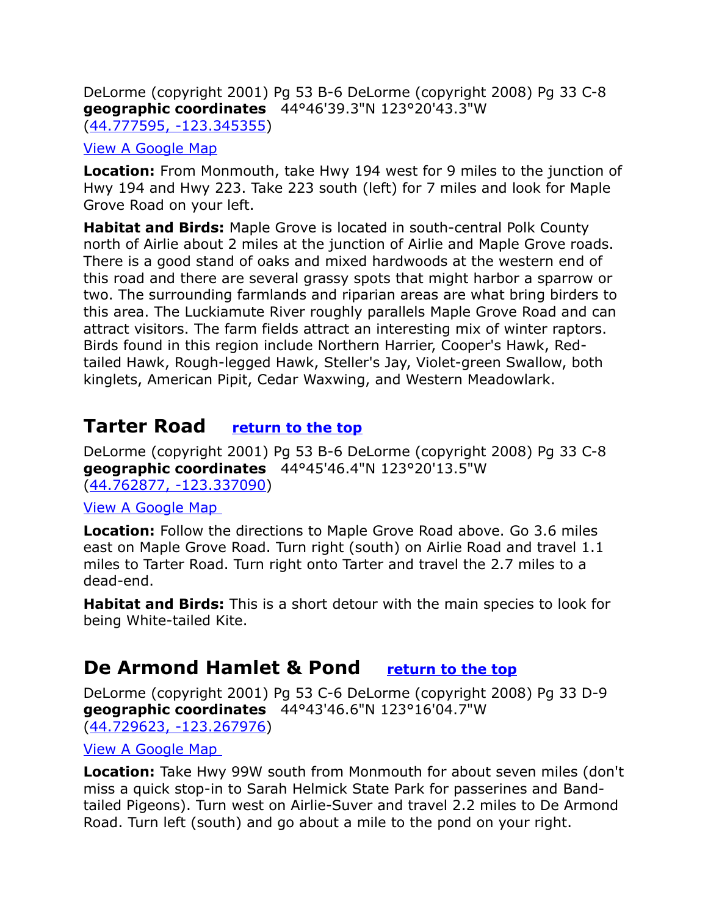DeLorme (copyright 2001) Pg 53 B-6 DeLorme (copyright 2008) Pg 33 C-8 **geographic coordinates** 44°46'39.3"N 123°20'43.3"W [\(44.777595, -123.345355\)](https://www.google.com/maps/place/44%C2%B046)

#### [View A Google Map](http://maps.google.com/maps/ms?hl=en&ie=UTF8&msa=0&msid=108036481085398338899.000475a20fb10cc645a1c&ll=44.790607,-123.261795&spn=0.387893,1.056747&z=11)

**Location:** From Monmouth, take Hwy 194 west for 9 miles to the junction of Hwy 194 and Hwy 223. Take 223 south (left) for 7 miles and look for Maple Grove Road on your left.

**Habitat and Birds:** Maple Grove is located in south-central Polk County north of Airlie about 2 miles at the junction of Airlie and Maple Grove roads. There is a good stand of oaks and mixed hardwoods at the western end of this road and there are several grassy spots that might harbor a sparrow or two. The surrounding farmlands and riparian areas are what bring birders to this area. The Luckiamute River roughly parallels Maple Grove Road and can attract visitors. The farm fields attract an interesting mix of winter raptors. Birds found in this region include Northern Harrier, Cooper's Hawk, Redtailed Hawk, Rough-legged Hawk, Steller's Jay, Violet-green Swallow, both kinglets, American Pipit, Cedar Waxwing, and Western Meadowlark.

## <span id="page-9-1"></span>**Tarter Road [return to the top](#page-0-0)**

DeLorme (copyright 2001) Pg 53 B-6 DeLorme (copyright 2008) Pg 33 C-8 **geographic coordinates** 44°45'46.4"N 123°20'13.5"W [\(44.762877, -123.337090\)](https://www.google.com/maps/place/44%C2%B045)

#### [View A Google Map](http://maps.google.com/maps/ms?hl=en&ie=UTF8&msa=0&msid=108036481085398338899.000475a20fb10cc645a1c&ll=44.790607,-123.261795&spn=0.387893,1.056747&z=11)

**Location:** Follow the directions to Maple Grove Road above. Go 3.6 miles east on Maple Grove Road. Turn right (south) on Airlie Road and travel 1.1 miles to Tarter Road. Turn right onto Tarter and travel the 2.7 miles to a dead-end.

**Habitat and Birds:** This is a short detour with the main species to look for being White-tailed Kite.

## <span id="page-9-0"></span>**De Armond Hamlet & Pond [return to the top](#page-0-0)**

DeLorme (copyright 2001) Pg 53 C-6 DeLorme (copyright 2008) Pg 33 D-9 **geographic coordinates** 44°43'46.6"N 123°16'04.7"W [\(44.729623, -123.267976\)](https://www.google.com/maps/place/44%C2%B043)

#### [View A Google Map](http://maps.google.com/maps/ms?hl=en&ie=UTF8&msa=0&msid=108036481085398338899.000475a20fb10cc645a1c&ll=44.790607,-123.261795&spn=0.387893,1.056747&z=11)

**Location:** Take Hwy 99W south from Monmouth for about seven miles (don't miss a quick stop-in to Sarah Helmick State Park for passerines and Bandtailed Pigeons). Turn west on Airlie-Suver and travel 2.2 miles to De Armond Road. Turn left (south) and go about a mile to the pond on your right.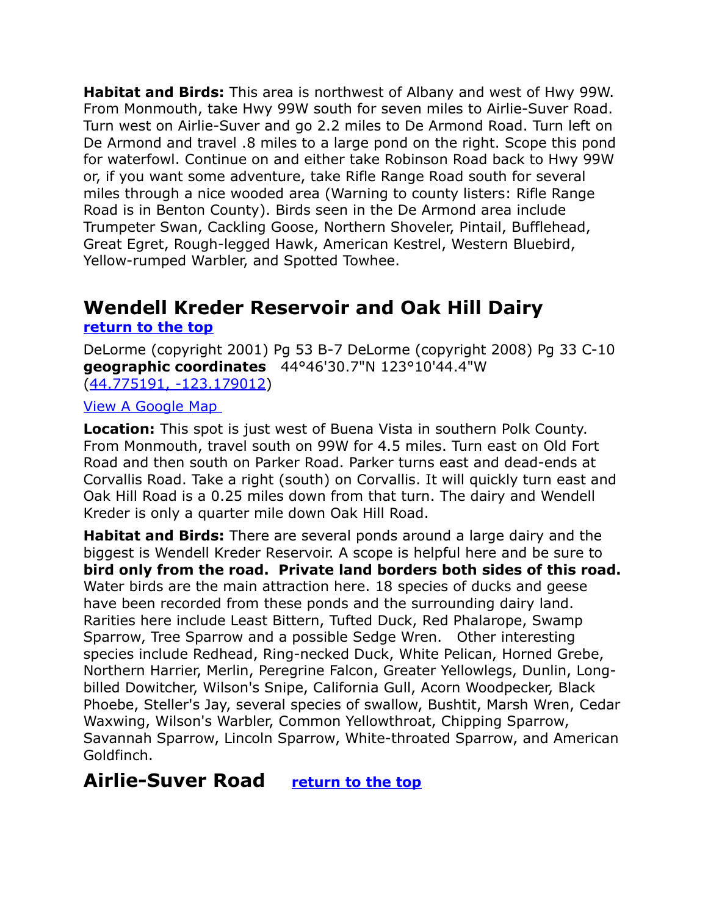**Habitat and Birds:** This area is northwest of Albany and west of Hwy 99W. From Monmouth, take Hwy 99W south for seven miles to Airlie-Suver Road. Turn west on Airlie-Suver and go 2.2 miles to De Armond Road. Turn left on De Armond and travel .8 miles to a large pond on the right. Scope this pond for waterfowl. Continue on and either take Robinson Road back to Hwy 99W or, if you want some adventure, take Rifle Range Road south for several miles through a nice wooded area (Warning to county listers: Rifle Range Road is in Benton County). Birds seen in the De Armond area include Trumpeter Swan, Cackling Goose, Northern Shoveler, Pintail, Bufflehead, Great Egret, Rough-legged Hawk, American Kestrel, Western Bluebird, Yellow-rumped Warbler, and Spotted Towhee.

## <span id="page-10-1"></span>**Wendell Kreder Reservoir and Oak Hill Dairy [return to the top](#page-0-0)**

DeLorme (copyright 2001) Pg 53 B-7 DeLorme (copyright 2008) Pg 33 C-10 **geographic coordinates** 44°46'30.7"N 123°10'44.4"W [\(44.775191, -123.179012\)](https://www.google.com/maps/place/44%C2%B046)

#### [View A Google Map](http://maps.google.com/maps/ms?hl=en&ie=UTF8&msa=0&msid=108036481085398338899.000475a20fb10cc645a1c&ll=44.790607,-123.261795&spn=0.387893,1.056747&z=11)

**Location:** This spot is just west of Buena Vista in southern Polk County. From Monmouth, travel south on 99W for 4.5 miles. Turn east on Old Fort Road and then south on Parker Road. Parker turns east and dead-ends at Corvallis Road. Take a right (south) on Corvallis. It will quickly turn east and Oak Hill Road is a 0.25 miles down from that turn. The dairy and Wendell Kreder is only a quarter mile down Oak Hill Road.

**Habitat and Birds:** There are several ponds around a large dairy and the biggest is Wendell Kreder Reservoir. A scope is helpful here and be sure to **bird only from the road. Private land borders both sides of this road.** Water birds are the main attraction here. 18 species of ducks and geese have been recorded from these ponds and the surrounding dairy land. Rarities here include Least Bittern, Tufted Duck, Red Phalarope, Swamp Sparrow, Tree Sparrow and a possible Sedge Wren. Other interesting species include Redhead, Ring-necked Duck, White Pelican, Horned Grebe, Northern Harrier, Merlin, Peregrine Falcon, Greater Yellowlegs, Dunlin, Longbilled Dowitcher, Wilson's Snipe, California Gull, Acorn Woodpecker, Black Phoebe, Steller's Jay, several species of swallow, Bushtit, Marsh Wren, Cedar Waxwing, Wilson's Warbler, Common Yellowthroat, Chipping Sparrow, Savannah Sparrow, Lincoln Sparrow, White-throated Sparrow, and American Goldfinch.

## <span id="page-10-0"></span>**Airlie-Suver Road [return to the top](#page-0-0)**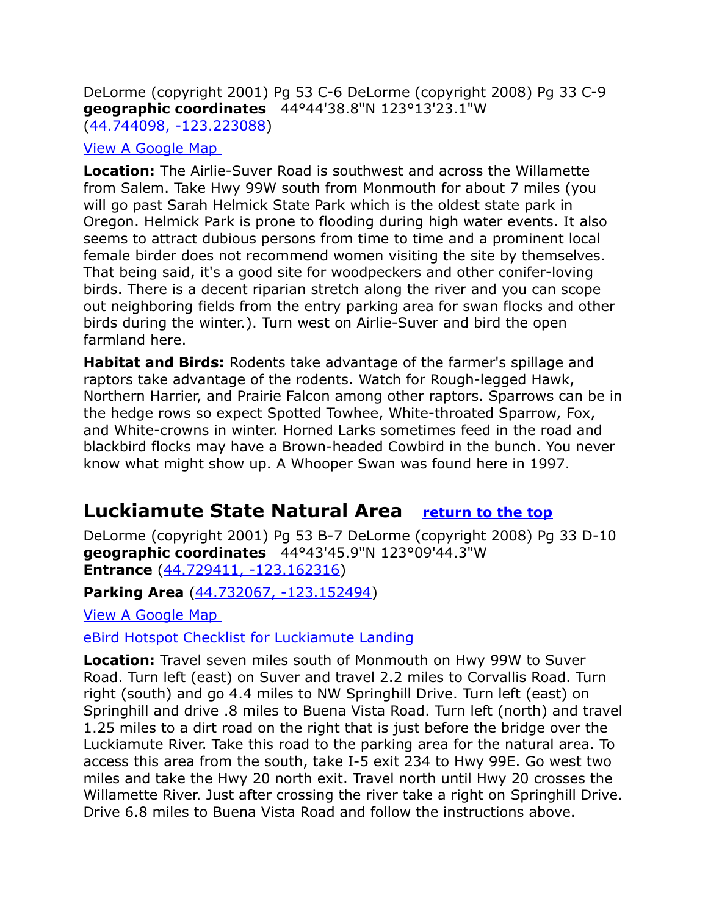DeLorme (copyright 2001) Pg 53 C-6 DeLorme (copyright 2008) Pg 33 C-9 **geographic coordinates** 44°44'38.8"N 123°13'23.1"W [\(44.744098, -123.223088\)](https://www.google.com/maps/place/44%C2%B044)

#### [View A Google Map](http://maps.google.com/maps/ms?hl=en&ie=UTF8&msa=0&msid=108036481085398338899.000475a20fb10cc645a1c&ll=44.790607,-123.261795&spn=0.387893,1.056747&z=11)

**Location:** The Airlie-Suver Road is southwest and across the Willamette from Salem. Take Hwy 99W south from Monmouth for about 7 miles (you will go past Sarah Helmick State Park which is the oldest state park in Oregon. Helmick Park is prone to flooding during high water events. It also seems to attract dubious persons from time to time and a prominent local female birder does not recommend women visiting the site by themselves. That being said, it's a good site for woodpeckers and other conifer-loving birds. There is a decent riparian stretch along the river and you can scope out neighboring fields from the entry parking area for swan flocks and other birds during the winter.). Turn west on Airlie-Suver and bird the open farmland here.

**Habitat and Birds:** Rodents take advantage of the farmer's spillage and raptors take advantage of the rodents. Watch for Rough-legged Hawk, Northern Harrier, and Prairie Falcon among other raptors. Sparrows can be in the hedge rows so expect Spotted Towhee, White-throated Sparrow, Fox, and White-crowns in winter. Horned Larks sometimes feed in the road and blackbird flocks may have a Brown-headed Cowbird in the bunch. You never know what might show up. A Whooper Swan was found here in 1997.

## <span id="page-11-0"></span>**Luckiamute State Natural Area [return to the top](#page-0-0)**

DeLorme (copyright 2001) Pg 53 B-7 DeLorme (copyright 2008) Pg 33 D-10 **geographic coordinates** 44°43'45.9"N 123°09'44.3"W **Entrance** [\(44.729411, -123.162316\)](https://www.google.com/maps/place/44%C2%B043)

**Parking Area** [\(44.732067, -123.152494\)](https://www.google.com/maps/place/44%C2%B043)

[View A Google Map](http://maps.google.com/maps/ms?hl=en&ie=UTF8&msa=0&msid=108036481085398338899.000475a20fb10cc645a1c&ll=44.790607,-123.261795&spn=0.387893,1.056747&z=11) 

[eBird Hotspot Checklist for Luckiamute Landing](http://ebird.org/ebird/hotspot/L809240)

**Location:** Travel seven miles south of Monmouth on Hwy 99W to Suver Road. Turn left (east) on Suver and travel 2.2 miles to Corvallis Road. Turn right (south) and go 4.4 miles to NW Springhill Drive. Turn left (east) on Springhill and drive .8 miles to Buena Vista Road. Turn left (north) and travel 1.25 miles to a dirt road on the right that is just before the bridge over the Luckiamute River. Take this road to the parking area for the natural area. To access this area from the south, take I-5 exit 234 to Hwy 99E. Go west two miles and take the Hwy 20 north exit. Travel north until Hwy 20 crosses the Willamette River. Just after crossing the river take a right on Springhill Drive. Drive 6.8 miles to Buena Vista Road and follow the instructions above.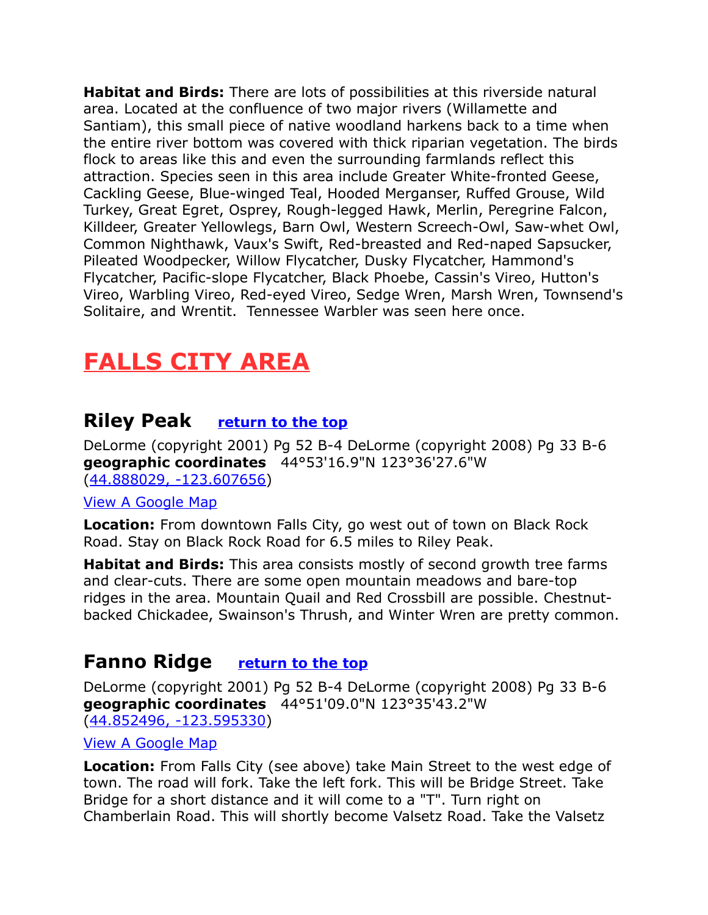**Habitat and Birds:** There are lots of possibilities at this riverside natural area. Located at the confluence of two major rivers (Willamette and Santiam), this small piece of native woodland harkens back to a time when the entire river bottom was covered with thick riparian vegetation. The birds flock to areas like this and even the surrounding farmlands reflect this attraction. Species seen in this area include Greater White-fronted Geese, Cackling Geese, Blue-winged Teal, Hooded Merganser, Ruffed Grouse, Wild Turkey, Great Egret, Osprey, Rough-legged Hawk, Merlin, Peregrine Falcon, Killdeer, Greater Yellowlegs, Barn Owl, Western Screech-Owl, Saw-whet Owl, Common Nighthawk, Vaux's Swift, Red-breasted and Red-naped Sapsucker, Pileated Woodpecker, Willow Flycatcher, Dusky Flycatcher, Hammond's Flycatcher, Pacific-slope Flycatcher, Black Phoebe, Cassin's Vireo, Hutton's Vireo, Warbling Vireo, Red-eyed Vireo, Sedge Wren, Marsh Wren, Townsend's Solitaire, and Wrentit. Tennessee Warbler was seen here once.

# <span id="page-12-2"></span>**FALLS CITY AREA**

## <span id="page-12-1"></span>**Riley Peak [return to the top](#page-0-0)**

DeLorme (copyright 2001) Pg 52 B-4 DeLorme (copyright 2008) Pg 33 B-6 **geographic coordinates** 44°53'16.9"N 123°36'27.6"W [\(44.888029, -123.607656\)](https://www.google.com/maps/place/44%C2%B053)

#### [View A Google Map](http://maps.google.com/maps/ms?hl=en&ie=UTF8&msa=0&msid=108036481085398338899.000475a22e400e3d1601b&ll=44.839317,-123.522034&spn=0.418238,1.054001&z=11)

**Location:** From downtown Falls City, go west out of town on Black Rock Road. Stay on Black Rock Road for 6.5 miles to Riley Peak.

**Habitat and Birds:** This area consists mostly of second growth tree farms and clear-cuts. There are some open mountain meadows and bare-top ridges in the area. Mountain Quail and Red Crossbill are possible. Chestnutbacked Chickadee, Swainson's Thrush, and Winter Wren are pretty common.

## <span id="page-12-0"></span>**Fanno Ridge [return to the top](#page-0-0)**

DeLorme (copyright 2001) Pg 52 B-4 DeLorme (copyright 2008) Pg 33 B-6 **geographic coordinates** 44°51'09.0"N 123°35'43.2"W [\(44.852496, -123.595330\)](https://www.google.com/maps/place/44%C2%B051)

[View A Google Map](http://maps.google.com/maps/ms?hl=en&ie=UTF8&msa=0&msid=108036481085398338899.000475a22e400e3d1601b&ll=44.839317,-123.522034&spn=0.418238,1.054001&z=11)

**Location:** From Falls City (see above) take Main Street to the west edge of town. The road will fork. Take the left fork. This will be Bridge Street. Take Bridge for a short distance and it will come to a "T". Turn right on Chamberlain Road. This will shortly become Valsetz Road. Take the Valsetz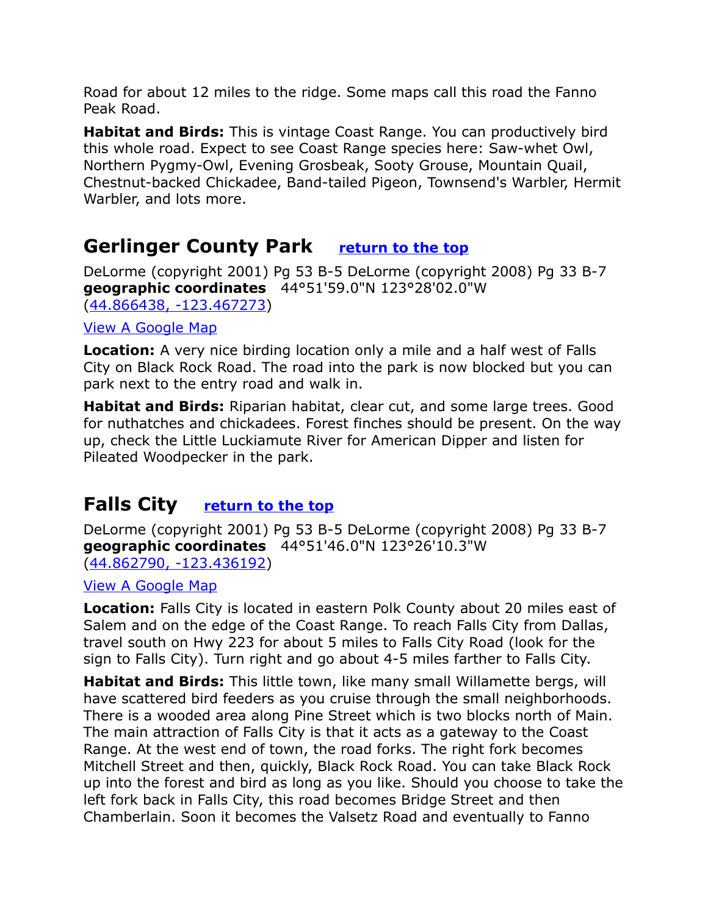Road for about 12 miles to the ridge. Some maps call this road the Fanno Peak Road.

**Habitat and Birds:** This is vintage Coast Range. You can productively bird this whole road. Expect to see Coast Range species here: Saw-whet Owl, Northern Pygmy-Owl, Evening Grosbeak, Sooty Grouse, Mountain Quail, Chestnut-backed Chickadee, Band-tailed Pigeon, Townsend's Warbler, Hermit Warbler, and lots more.

## <span id="page-13-1"></span>**Gerlinger County Park [return to the top](#page-0-0)**

DeLorme (copyright 2001) Pg 53 B-5 DeLorme (copyright 2008) Pg 33 B-7 **geographic coordinates** 44°51'59.0"N 123°28'02.0"W [\(44.866438, -123.467273\)](https://www.google.com/maps/place/44%C2%B051)

#### [View A Google Map](http://maps.google.com/maps/ms?hl=en&ie=UTF8&msa=0&msid=108036481085398338899.000475a22e400e3d1601b&ll=44.839317,-123.522034&spn=0.418238,1.054001&z=11)

**Location:** A very nice birding location only a mile and a half west of Falls City on Black Rock Road. The road into the park is now blocked but you can park next to the entry road and walk in.

**Habitat and Birds:** Riparian habitat, clear cut, and some large trees. Good for nuthatches and chickadees. Forest finches should be present. On the way up, check the Little Luckiamute River for American Dipper and listen for Pileated Woodpecker in the park.

## <span id="page-13-0"></span>**Falls City [return to the top](#page-0-0)**

DeLorme (copyright 2001) Pg 53 B-5 DeLorme (copyright 2008) Pg 33 B-7 **geographic coordinates** 44°51'46.0"N 123°26'10.3"W [\(44.862790, -123.436192\)](https://www.google.com/maps/place/44%C2%B051)

[View A Google Map](http://maps.google.com/maps/ms?hl=en&ie=UTF8&msa=0&msid=108036481085398338899.000475a22e400e3d1601b&ll=44.839317,-123.522034&spn=0.418238,1.054001&z=11)

**Location:** Falls City is located in eastern Polk County about 20 miles east of Salem and on the edge of the Coast Range. To reach Falls City from Dallas, travel south on Hwy 223 for about 5 miles to Falls City Road (look for the sign to Falls City). Turn right and go about 4-5 miles farther to Falls City.

**Habitat and Birds:** This little town, like many small Willamette bergs, will have scattered bird feeders as you cruise through the small neighborhoods. There is a wooded area along Pine Street which is two blocks north of Main. The main attraction of Falls City is that it acts as a gateway to the Coast Range. At the west end of town, the road forks. The right fork becomes Mitchell Street and then, quickly, Black Rock Road. You can take Black Rock up into the forest and bird as long as you like. Should you choose to take the left fork back in Falls City, this road becomes Bridge Street and then Chamberlain. Soon it becomes the Valsetz Road and eventually to Fanno